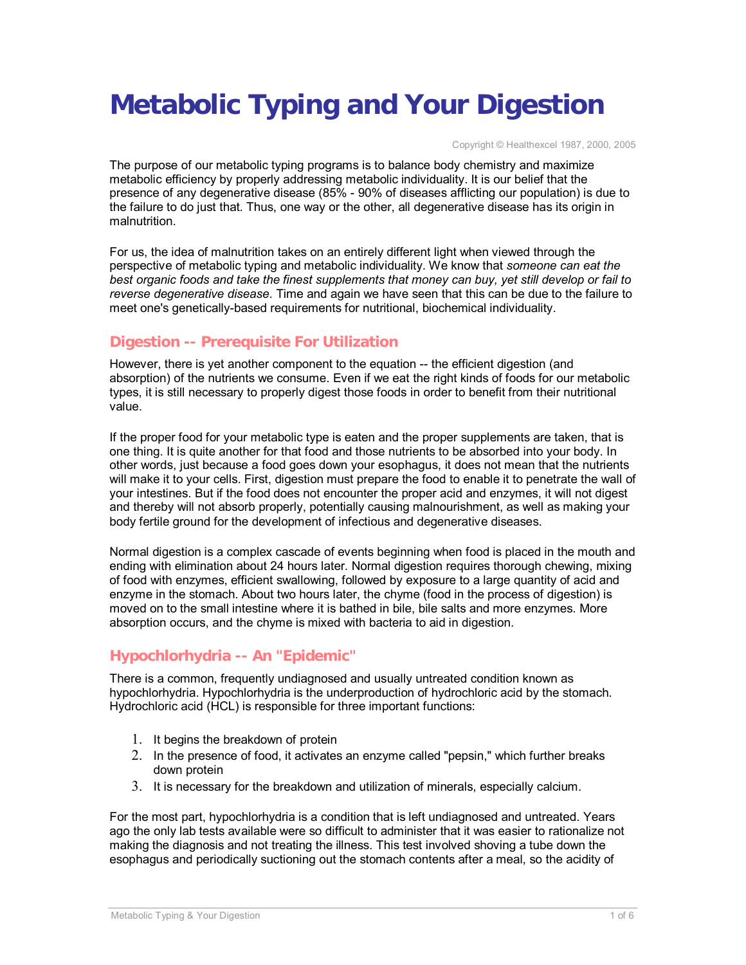# **Metabolic Typing and Your Digestion**

Copyright © Healthexcel 1987, 2000, 2005

The purpose of our metabolic typing programs is to balance body chemistry and maximize metabolic efficiency by properly addressing metabolic individuality. It is our belief that the presence of any degenerative disease (85% - 90% of diseases afflicting our population) is due to the failure to do just that. Thus, one way or the other, all degenerative disease has its origin in malnutrition.

For us, the idea of malnutrition takes on an entirely different light when viewed through the perspective of metabolic typing and metabolic individuality. We know that *someone can eat the best organic foods and take the finest supplements that money can buy, yet still develop or fail to reverse degenerative disease*. Time and again we have seen that this can be due to the failure to meet one's genetically-based requirements for nutritional, biochemical individuality.

## **Digestion -- Prerequisite For Utilization**

However, there is yet another component to the equation -- the efficient digestion (and absorption) of the nutrients we consume. Even if we eat the right kinds of foods for our metabolic types, it is still necessary to properly digest those foods in order to benefit from their nutritional value.

If the proper food for your metabolic type is eaten and the proper supplements are taken, that is one thing. It is quite another for that food and those nutrients to be absorbed into your body. In other words, just because a food goes down your esophagus, it does not mean that the nutrients will make it to your cells. First, digestion must prepare the food to enable it to penetrate the wall of your intestines. But if the food does not encounter the proper acid and enzymes, it will not digest and thereby will not absorb properly, potentially causing malnourishment, as well as making your body fertile ground for the development of infectious and degenerative diseases.

Normal digestion is a complex cascade of events beginning when food is placed in the mouth and ending with elimination about 24 hours later. Normal digestion requires thorough chewing, mixing of food with enzymes, efficient swallowing, followed by exposure to a large quantity of acid and enzyme in the stomach. About two hours later, the chyme (food in the process of digestion) is moved on to the small intestine where it is bathed in bile, bile salts and more enzymes. More absorption occurs, and the chyme is mixed with bacteria to aid in digestion.

# **Hypochlorhydria -- An "Epidemic"**

There is a common, frequently undiagnosed and usually untreated condition known as hypochlorhydria. Hypochlorhydria is the underproduction of hydrochloric acid by the stomach. Hydrochloric acid (HCL) is responsible for three important functions:

- 1. It begins the breakdown of protein
- 2. In the presence of food, it activates an enzyme called "pepsin," which further breaks down protein
- 3. It is necessary for the breakdown and utilization of minerals, especially calcium.

For the most part, hypochlorhydria is a condition that is left undiagnosed and untreated. Years ago the only lab tests available were so difficult to administer that it was easier to rationalize not making the diagnosis and not treating the illness. This test involved shoving a tube down the esophagus and periodically suctioning out the stomach contents after a meal, so the acidity of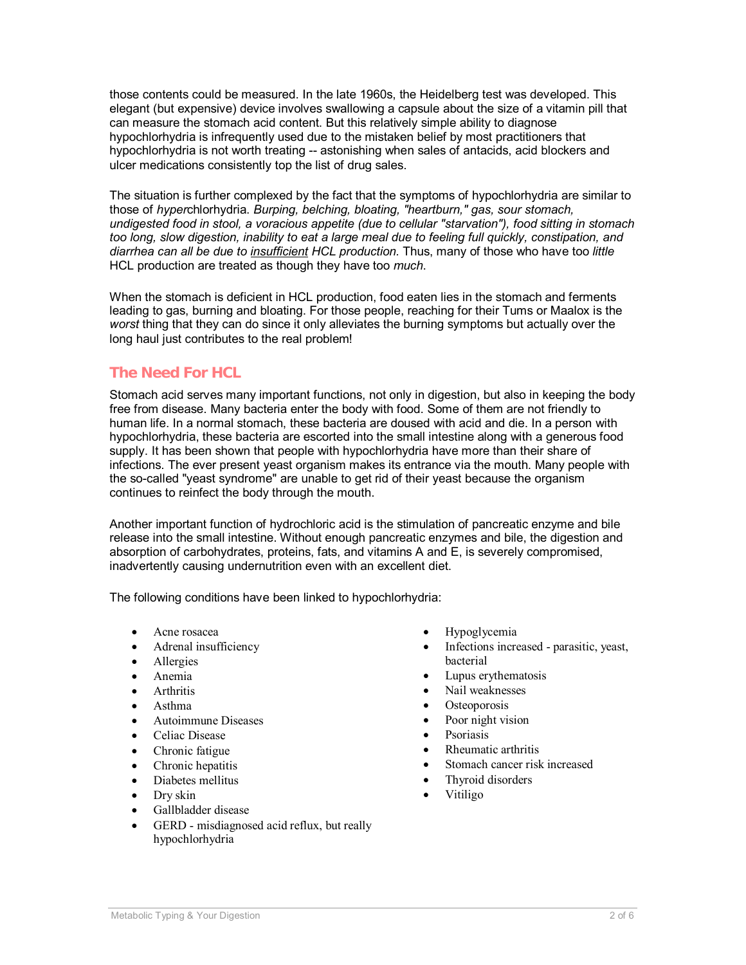those contents could be measured. In the late 1960s, the Heidelberg test was developed. This elegant (but expensive) device involves swallowing a capsule about the size of a vitamin pill that can measure the stomach acid content. But this relatively simple ability to diagnose hypochlorhydria is infrequently used due to the mistaken belief by most practitioners that hypochlorhydria is not worth treating -- astonishing when sales of antacids, acid blockers and ulcer medications consistently top the list of drug sales.

The situation is further complexed by the fact that the symptoms of hypochlorhydria are similar to those of *hyper*chlorhydria. *Burping, belching, bloating, "heartburn," gas, sour stomach, undigested food in stool, a voracious appetite (due to cellular "starvation"), food sitting in stomach too long, slow digestion, inability to eat a large meal due to feeling full quickly, constipation, and diarrhea can all be due to insufficient HCL production.* Thus, many of those who have too *little* HCL production are treated as though they have too *much*.

When the stomach is deficient in HCL production, food eaten lies in the stomach and ferments leading to gas, burning and bloating. For those people, reaching for their Tums or Maalox is the *worst* thing that they can do since it only alleviates the burning symptoms but actually over the long haul just contributes to the real problem!

## **The Need For HCL**

Stomach acid serves many important functions, not only in digestion, but also in keeping the body free from disease. Many bacteria enter the body with food. Some of them are not friendly to human life. In a normal stomach, these bacteria are doused with acid and die. In a person with hypochlorhydria, these bacteria are escorted into the small intestine along with a generous food supply. It has been shown that people with hypochlorhydria have more than their share of infections. The ever present yeast organism makes its entrance via the mouth. Many people with the so-called "yeast syndrome" are unable to get rid of their yeast because the organism continues to reinfect the body through the mouth.

Another important function of hydrochloric acid is the stimulation of pancreatic enzyme and bile release into the small intestine. Without enough pancreatic enzymes and bile, the digestion and absorption of carbohydrates, proteins, fats, and vitamins A and E, is severely compromised, inadvertently causing undernutrition even with an excellent diet.

The following conditions have been linked to hypochlorhydria:

- · Acne rosacea
- Adrenal insufficiency
- Allergies
- · Anemia
- **Arthritis**
- · Asthma
- · Autoimmune Diseases
- Celiac Disease
- Chronic fatigue
- Chronic hepatitis
- · Diabetes mellitus
- · Dry skin
- Gallbladder disease
- GERD misdiagnosed acid reflux, but really hypochlorhydria
- · Hypoglycemia
- Infections increased parasitic, yeast, bacterial
- Lupus erythematosis
- Nail weaknesses
- Osteoporosis
- Poor night vision
- **Psoriasis**
- · Rheumatic arthritis
- Stomach cancer risk increased
- Thyroid disorders
- · Vitiligo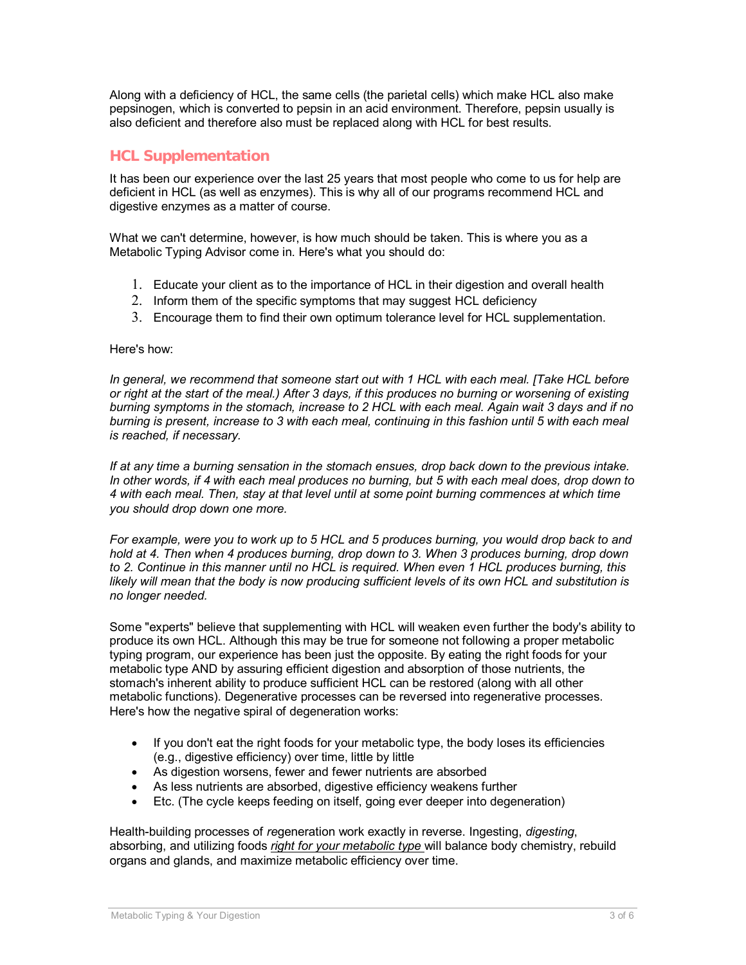Along with a deficiency of HCL, the same cells (the parietal cells) which make HCL also make pepsinogen, which is converted to pepsin in an acid environment. Therefore, pepsin usually is also deficient and therefore also must be replaced along with HCL for best results.

## **HCL Supplementation**

It has been our experience over the last 25 years that most people who come to us for help are deficient in HCL (as well as enzymes). This is why all of our programs recommend HCL and digestive enzymes as a matter of course.

What we can't determine, however, is how much should be taken. This is where you as a Metabolic Typing Advisor come in. Here's what you should do:

- 1. Educate your client as to the importance of HCL in their digestion and overall health
- 2. Inform them of the specific symptoms that may suggest HCL deficiency
- 3. Encourage them to find their own optimum tolerance level for HCL supplementation.

#### Here's how:

*In general, we recommend that someone start out with 1 HCL with each meal. [Take HCL before or right at the start of the meal.) After 3 days, if this produces no burning or worsening of existing burning symptoms in the stomach, increase to 2 HCL with each meal. Again wait 3 days and if no burning is present, increase to 3 with each meal, continuing in this fashion until 5 with each meal is reached, if necessary.* 

*If at any time a burning sensation in the stomach ensues, drop back down to the previous intake. In other words, if 4 with each meal produces no burning, but 5 with each meal does, drop down to 4 with each meal. Then, stay at that level until at some point burning commences at which time you should drop down one more.* 

*For example, were you to work up to 5 HCL and 5 produces burning, you would drop back to and hold at 4. Then when 4 produces burning, drop down to 3. When 3 produces burning, drop down to 2. Continue in this manner until no HCL is required. When even 1 HCL produces burning, this likely will mean that the body is now producing sufficient levels of its own HCL and substitution is no longer needed.* 

Some "experts" believe that supplementing with HCL will weaken even further the body's ability to produce its own HCL. Although this may be true for someone not following a proper metabolic typing program, our experience has been just the opposite. By eating the right foods for your metabolic type AND by assuring efficient digestion and absorption of those nutrients, the stomach's inherent ability to produce sufficient HCL can be restored (along with all other metabolic functions). Degenerative processes can be reversed into regenerative processes. Here's how the negative spiral of degeneration works:

- · If you don't eat the right foods for your metabolic type, the body loses its efficiencies (e.g., digestive efficiency) over time, little by little
- As digestion worsens, fewer and fewer nutrients are absorbed
- · As less nutrients are absorbed, digestive efficiency weakens further
- Etc. (The cycle keeps feeding on itself, going ever deeper into degeneration)

Health-building processes of *re*generation work exactly in reverse. Ingesting, *digesting*, absorbing, and utilizing foods *right for your metabolic type* will balance body chemistry, rebuild organs and glands, and maximize metabolic efficiency over time.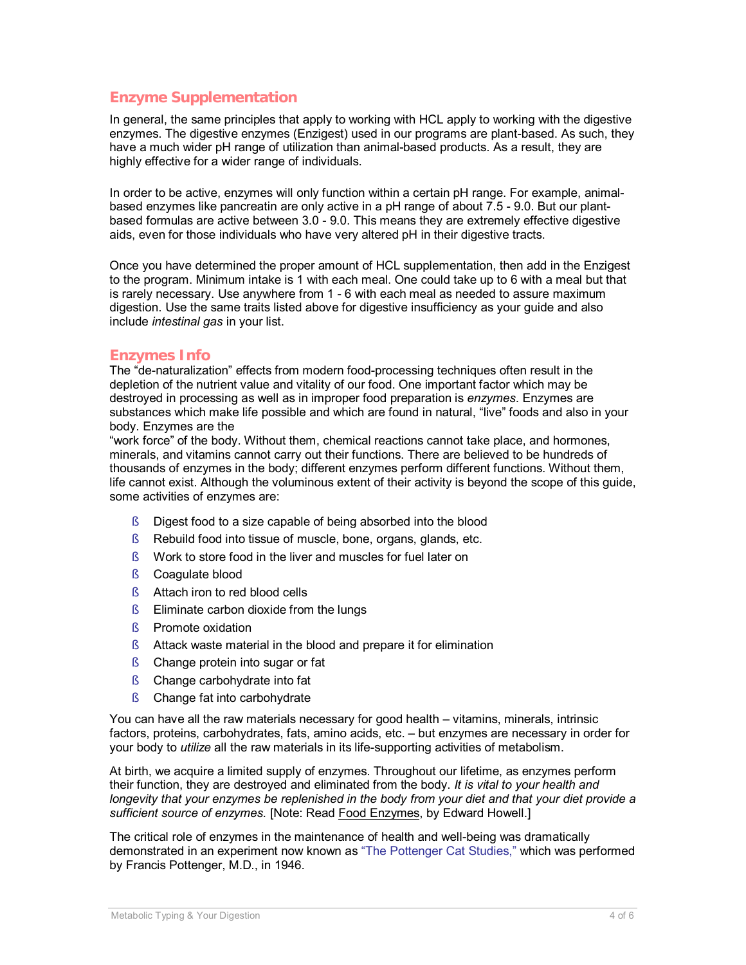## **Enzyme Supplementation**

In general, the same principles that apply to working with HCL apply to working with the digestive enzymes. The digestive enzymes (Enzigest) used in our programs are plant-based. As such, they have a much wider pH range of utilization than animal-based products. As a result, they are highly effective for a wider range of individuals.

In order to be active, enzymes will only function within a certain pH range. For example, animalbased enzymes like pancreatin are only active in a pH range of about 7.5 - 9.0. But our plantbased formulas are active between 3.0 - 9.0. This means they are extremely effective digestive aids, even for those individuals who have very altered pH in their digestive tracts.

Once you have determined the proper amount of HCL supplementation, then add in the Enzigest to the program. Minimum intake is 1 with each meal. One could take up to 6 with a meal but that is rarely necessary. Use anywhere from 1 - 6 with each meal as needed to assure maximum digestion. Use the same traits listed above for digestive insufficiency as your guide and also include *intestinal gas* in your list.

#### **Enzymes Info**

The "de-naturalization" effects from modern food-processing techniques often result in the depletion of the nutrient value and vitality of our food. One important factor which may be destroyed in processing as well as in improper food preparation is *enzymes*. Enzymes are substances which make life possible and which are found in natural, "live" foods and also in your body. Enzymes are the

"work force" of the body. Without them, chemical reactions cannot take place, and hormones, minerals, and vitamins cannot carry out their functions. There are believed to be hundreds of thousands of enzymes in the body; different enzymes perform different functions. Without them, life cannot exist. Although the voluminous extent of their activity is beyond the scope of this guide, some activities of enzymes are:

- § Digest food to a size capable of being absorbed into the blood
- § Rebuild food into tissue of muscle, bone, organs, glands, etc.
- § Work to store food in the liver and muscles for fuel later on
- § Coagulate blood
- § Attach iron to red blood cells
- § Eliminate carbon dioxide from the lungs
- § Promote oxidation
- § Attack waste material in the blood and prepare it for elimination
- § Change protein into sugar or fat
- § Change carbohydrate into fat
- § Change fat into carbohydrate

You can have all the raw materials necessary for good health – vitamins, minerals, intrinsic factors, proteins, carbohydrates, fats, amino acids, etc. – but enzymes are necessary in order for your body to *utilize* all the raw materials in its life-supporting activities of metabolism.

At birth, we acquire a limited supply of enzymes. Throughout our lifetime, as enzymes perform their function, they are destroyed and eliminated from the body. *It is vital to your health and longevity that your enzymes be replenished in the body from your diet and that your diet provide a sufficient source of enzymes.* [Note: Read Food Enzymes, by Edward Howell.]

The critical role of enzymes in the maintenance of health and well-being was dramatically demonstrated in an experiment now known as "The Pottenger Cat Studies," which was performed by Francis Pottenger, M.D., in 1946.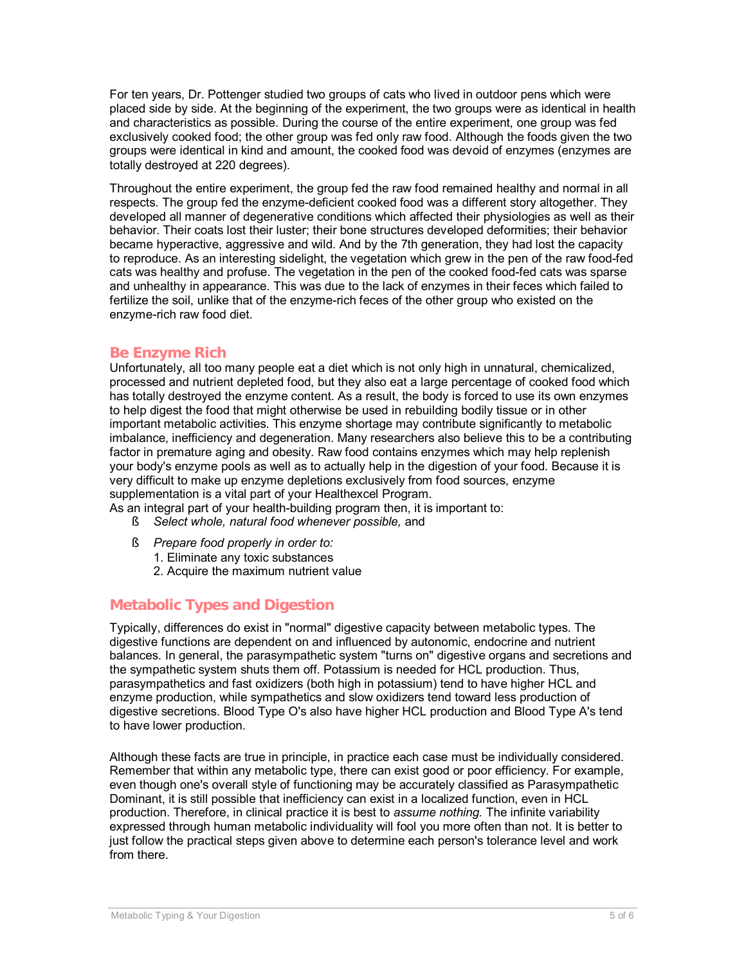For ten years, Dr. Pottenger studied two groups of cats who lived in outdoor pens which were placed side by side. At the beginning of the experiment, the two groups were as identical in health and characteristics as possible. During the course of the entire experiment, one group was fed exclusively cooked food; the other group was fed only raw food. Although the foods given the two groups were identical in kind and amount, the cooked food was devoid of enzymes (enzymes are totally destroyed at 220 degrees).

Throughout the entire experiment, the group fed the raw food remained healthy and normal in all respects. The group fed the enzyme-deficient cooked food was a different story altogether. They developed all manner of degenerative conditions which affected their physiologies as well as their behavior. Their coats lost their luster; their bone structures developed deformities; their behavior became hyperactive, aggressive and wild. And by the 7th generation, they had lost the capacity to reproduce. As an interesting sidelight, the vegetation which grew in the pen of the raw food-fed cats was healthy and profuse. The vegetation in the pen of the cooked food-fed cats was sparse and unhealthy in appearance. This was due to the lack of enzymes in their feces which failed to fertilize the soil, unlike that of the enzyme-rich feces of the other group who existed on the enzyme-rich raw food diet.

#### **Be Enzyme Rich**

Unfortunately, all too many people eat a diet which is not only high in unnatural, chemicalized, processed and nutrient depleted food, but they also eat a large percentage of cooked food which has totally destroyed the enzyme content. As a result, the body is forced to use its own enzymes to help digest the food that might otherwise be used in rebuilding bodily tissue or in other important metabolic activities. This enzyme shortage may contribute significantly to metabolic imbalance, inefficiency and degeneration. Many researchers also believe this to be a contributing factor in premature aging and obesity. Raw food contains enzymes which may help replenish your body's enzyme pools as well as to actually help in the digestion of your food. Because it is very difficult to make up enzyme depletions exclusively from food sources, enzyme supplementation is a vital part of your Healthexcel Program.

As an integral part of your health-building program then, it is important to:

- § *Select whole, natural food whenever possible,* and
- § *Prepare food properly in order to:*
	- 1. Eliminate any toxic substances
	- 2. Acquire the maximum nutrient value

### **Metabolic Types and Digestion**

Typically, differences do exist in "normal" digestive capacity between metabolic types. The digestive functions are dependent on and influenced by autonomic, endocrine and nutrient balances. In general, the parasympathetic system "turns on" digestive organs and secretions and the sympathetic system shuts them off. Potassium is needed for HCL production. Thus, parasympathetics and fast oxidizers (both high in potassium) tend to have higher HCL and enzyme production, while sympathetics and slow oxidizers tend toward less production of digestive secretions. Blood Type O's also have higher HCL production and Blood Type A's tend to have lower production.

Although these facts are true in principle, in practice each case must be individually considered. Remember that within any metabolic type, there can exist good or poor efficiency. For example, even though one's overall style of functioning may be accurately classified as Parasympathetic Dominant, it is still possible that inefficiency can exist in a localized function, even in HCL production. Therefore, in clinical practice it is best to *assume nothing.* The infinite variability expressed through human metabolic individuality will fool you more often than not. It is better to just follow the practical steps given above to determine each person's tolerance level and work from there.